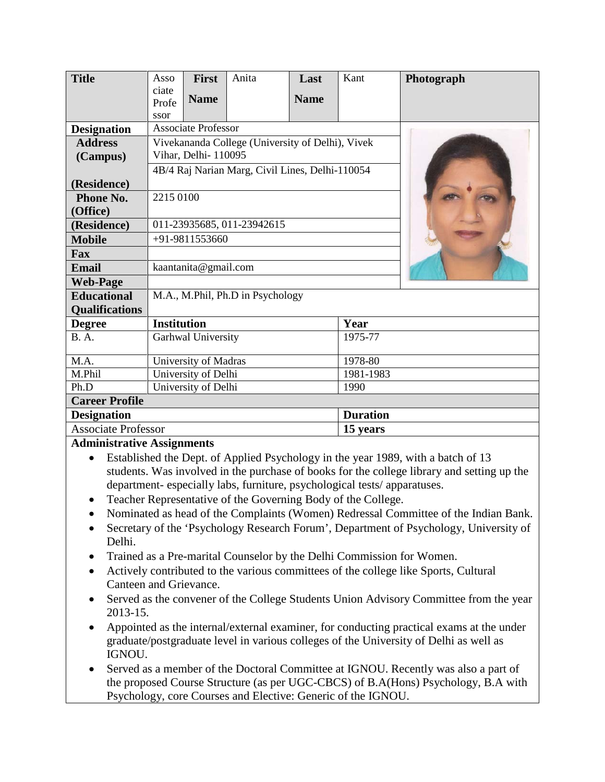| <b>Title</b>               | Asso                                             | <b>First</b> | Anita | Last        | Kant            | Photograph |
|----------------------------|--------------------------------------------------|--------------|-------|-------------|-----------------|------------|
|                            | ciate                                            | <b>Name</b>  |       | <b>Name</b> |                 |            |
|                            | Profe                                            |              |       |             |                 |            |
| <b>Designation</b>         | ssor<br><b>Associate Professor</b>               |              |       |             |                 |            |
| <b>Address</b>             | Vivekananda College (University of Delhi), Vivek |              |       |             |                 |            |
|                            | Vihar, Delhi-110095                              |              |       |             |                 |            |
| (Campus)                   |                                                  |              |       |             |                 |            |
|                            | 4B/4 Raj Narian Marg, Civil Lines, Delhi-110054  |              |       |             |                 |            |
| (Residence)                |                                                  |              |       |             |                 |            |
| Phone No.                  | 2215 0100                                        |              |       |             |                 |            |
| (Office)                   |                                                  |              |       |             |                 |            |
| (Residence)                | 011-23935685, 011-23942615                       |              |       |             |                 |            |
| <b>Mobile</b>              | +91-9811553660                                   |              |       |             |                 |            |
| Fax                        |                                                  |              |       |             |                 |            |
| <b>Email</b>               | kaantanita@gmail.com                             |              |       |             |                 |            |
| <b>Web-Page</b>            |                                                  |              |       |             |                 |            |
| <b>Educational</b>         | M.A., M.Phil, Ph.D in Psychology                 |              |       |             |                 |            |
| <b>Qualifications</b>      |                                                  |              |       |             |                 |            |
| <b>Degree</b>              | <b>Institution</b>                               |              |       |             | Year            |            |
| <b>B.A.</b>                | Garhwal University                               |              |       |             | 1975-77         |            |
|                            | 1978-80                                          |              |       |             |                 |            |
| M.A.                       | University of Madras                             |              |       |             |                 |            |
| M.Phil                     | University of Delhi                              |              |       |             | 1981-1983       |            |
| Ph.D                       | University of Delhi<br>1990                      |              |       |             |                 |            |
| <b>Career Profile</b>      |                                                  |              |       |             |                 |            |
| <b>Designation</b>         |                                                  |              |       |             | <b>Duration</b> |            |
| <b>Associate Professor</b> |                                                  |              |       |             | 15 years        |            |

#### **Administrative Assignments**

- Established the Dept. of Applied Psychology in the year 1989, with a batch of 13 students. Was involved in the purchase of books for the college library and setting up the department- especially labs, furniture, psychological tests/ apparatuses.
- Teacher Representative of the Governing Body of the College.
- Nominated as head of the Complaints (Women) Redressal Committee of the Indian Bank.
- Secretary of the 'Psychology Research Forum', Department of Psychology, University of Delhi.
- Trained as a Pre-marital Counselor by the Delhi Commission for Women.
- Actively contributed to the various committees of the college like Sports, Cultural Canteen and Grievance.
- Served as the convener of the College Students Union Advisory Committee from the year 2013-15.
- Appointed as the internal/external examiner, for conducting practical exams at the under graduate/postgraduate level in various colleges of the University of Delhi as well as IGNOU.
- Served as a member of the Doctoral Committee at IGNOU. Recently was also a part of the proposed Course Structure (as per UGC-CBCS) of B.A(Hons) Psychology, B.A with Psychology, core Courses and Elective: Generic of the IGNOU.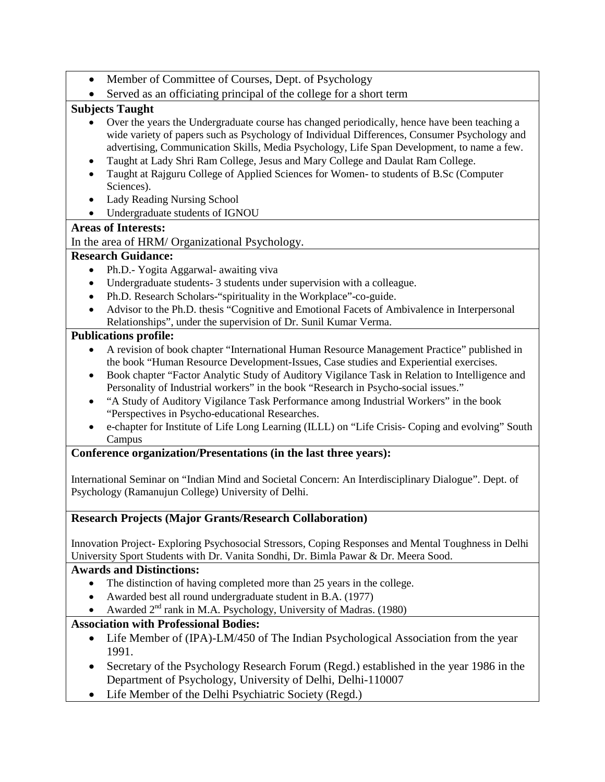- Member of Committee of Courses, Dept. of Psychology
- Served as an officiating principal of the college for a short term

# **Subjects Taught**

- Over the years the Undergraduate course has changed periodically, hence have been teaching a wide variety of papers such as Psychology of Individual Differences, Consumer Psychology and advertising, Communication Skills, Media Psychology, Life Span Development, to name a few.
- Taught at Lady Shri Ram College, Jesus and Mary College and Daulat Ram College.
- Taught at Rajguru College of Applied Sciences for Women- to students of B.Sc (Computer Sciences).
- Lady Reading Nursing School
- Undergraduate students of IGNOU

### **Areas of Interests:**

In the area of HRM/ Organizational Psychology.

### **Research Guidance:**

- Ph.D.- Yogita Aggarwal- awaiting viva
- Undergraduate students- 3 students under supervision with a colleague.
- Ph.D. Research Scholars-"spirituality in the Workplace"-co-guide.
- Advisor to the Ph.D. thesis "Cognitive and Emotional Facets of Ambivalence in Interpersonal Relationships", under the supervision of Dr. Sunil Kumar Verma.

### **Publications profile:**

- A revision of book chapter "International Human Resource Management Practice" published in the book "Human Resource Development-Issues, Case studies and Experiential exercises.
- Book chapter "Factor Analytic Study of Auditory Vigilance Task in Relation to Intelligence and Personality of Industrial workers" in the book "Research in Psycho-social issues."
- "A Study of Auditory Vigilance Task Performance among Industrial Workers" in the book "Perspectives in Psycho-educational Researches.
- e-chapter for Institute of Life Long Learning (ILLL) on "Life Crisis- Coping and evolving" South Campus

#### **Conference organization/Presentations (in the last three years):**

International Seminar on "Indian Mind and Societal Concern: An Interdisciplinary Dialogue". Dept. of Psychology (Ramanujun College) University of Delhi.

# **Research Projects (Major Grants/Research Collaboration)**

Innovation Project- Exploring Psychosocial Stressors, Coping Responses and Mental Toughness in Delhi University Sport Students with Dr. Vanita Sondhi, Dr. Bimla Pawar & Dr. Meera Sood.

#### **Awards and Distinctions:**

- The distinction of having completed more than 25 years in the college.
- Awarded best all round undergraduate student in B.A. (1977)
- Awarded  $2<sup>nd</sup>$  rank in M.A. Psychology, University of Madras. (1980)

# **Association with Professional Bodies:**

- Life Member of (IPA)-LM/450 of The Indian Psychological Association from the year 1991.
- Secretary of the Psychology Research Forum (Regd.) established in the year 1986 in the Department of Psychology, University of Delhi, Delhi-110007
- Life Member of the Delhi Psychiatric Society (Regd.)